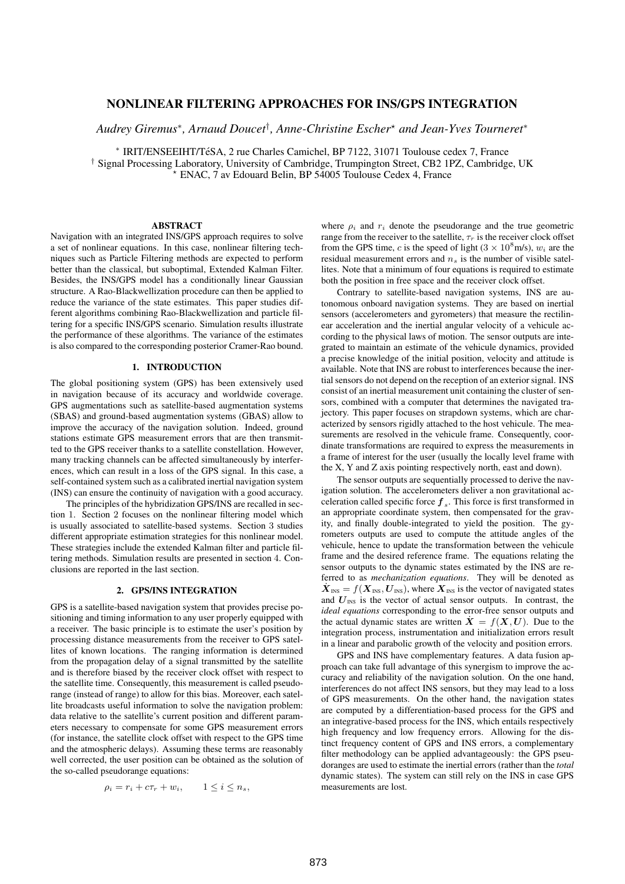# **NONLINEAR FILTERING APPROACHES FOR INS/GPS INTEGRATION**

*Audrey Giremus*<sup>∗</sup> *, Arnaud Doucet*† *, Anne-Christine Escher*? *and Jean-Yves Tourneret*<sup>∗</sup>

\* IRIT/ENSEEIHT/TéSA, 2 rue Charles Camichel, BP 7122, 31071 Toulouse cedex 7, France † Signal Processing Laboratory, University of Cambridge, Trumpington Street, CB2 1PZ, Cambridge, UK ? ENAC, 7 av Edouard Belin, BP 54005 Toulouse Cedex 4, France

# **ABSTRACT**

Navigation with an integrated INS/GPS approach requires to solve a set of nonlinear equations. In this case, nonlinear filtering techniques such as Particle Filtering methods are expected to perform better than the classical, but suboptimal, Extended Kalman Filter. Besides, the INS/GPS model has a conditionally linear Gaussian structure. A Rao-Blackwellization procedure can then be applied to reduce the variance of the state estimates. This paper studies different algorithms combining Rao-Blackwellization and particle filtering for a specific INS/GPS scenario. Simulation results illustrate the performance of these algorithms. The variance of the estimates is also compared to the corresponding posterior Cramer-Rao bound.

# **1. INTRODUCTION**

The global positioning system (GPS) has been extensively used in navigation because of its accuracy and worldwide coverage. GPS augmentations such as satellite-based augmentation systems (SBAS) and ground-based augmentation systems (GBAS) allow to improve the accuracy of the navigation solution. Indeed, ground stations estimate GPS measurement errors that are then transmitted to the GPS receiver thanks to a satellite constellation. However, many tracking channels can be affected simultaneously by interferences, which can result in a loss of the GPS signal. In this case, a self-contained system such as a calibrated inertial navigation system (INS) can ensure the continuity of navigation with a good accuracy.

The principles of the hybridization GPS/INS are recalled in section 1. Section 2 focuses on the nonlinear filtering model which is usually associated to satellite-based systems. Section 3 studies different appropriate estimation strategies for this nonlinear model. These strategies include the extended Kalman filter and particle filtering methods. Simulation results are presented in section 4. Conclusions are reported in the last section.

### **2. GPS/INS INTEGRATION**

GPS is a satellite-based navigation system that provides precise positioning and timing information to any user properly equipped with a receiver. The basic principle is to estimate the user's position by processing distance measurements from the receiver to GPS satellites of known locations. The ranging information is determined from the propagation delay of a signal transmitted by the satellite and is therefore biased by the receiver clock offset with respect to the satellite time. Consequently, this measurement is called pseudorange (instead of range) to allow for this bias. Moreover, each satellite broadcasts useful information to solve the navigation problem: data relative to the satellite's current position and different parameters necessary to compensate for some GPS measurement errors (for instance, the satellite clock offset with respect to the GPS time and the atmospheric delays). Assuming these terms are reasonably well corrected, the user position can be obtained as the solution of the so-called pseudorange equations:

$$
\rho_i = r_i + c\tau_r + w_i, \qquad 1 \le i \le n_s,
$$

where  $\rho_i$  and  $r_i$  denote the pseudorange and the true geometric range from the receiver to the satellite,  $\tau_r$  is the receiver clock offset from the GPS time, c is the speed of light  $(3 \times 10^8 \text{ m/s})$ ,  $w_i$  are the residual measurement errors and  $n<sub>s</sub>$  is the number of visible satellites. Note that a minimum of four equations is required to estimate both the position in free space and the receiver clock offset.

Contrary to satellite-based navigation systems, INS are autonomous onboard navigation systems. They are based on inertial sensors (accelerometers and gyrometers) that measure the rectilinear acceleration and the inertial angular velocity of a vehicule according to the physical laws of motion. The sensor outputs are integrated to maintain an estimate of the vehicule dynamics, provided a precise knowledge of the initial position, velocity and attitude is available. Note that INS are robust to interferences because the inertial sensors do not depend on the reception of an exterior signal. INS consist of an inertial measurement unit containing the cluster of sensors, combined with a computer that determines the navigated trajectory. This paper focuses on strapdown systems, which are characterized by sensors rigidly attached to the host vehicule. The measurements are resolved in the vehicule frame. Consequently, coordinate transformations are required to express the measurements in a frame of interest for the user (usually the locally level frame with the X, Y and Z axis pointing respectively north, east and down).

The sensor outputs are sequentially processed to derive the navigation solution. The accelerometers deliver a non gravitational acceleration called specific force  $f_s$ . This force is first transformed in an appropriate coordinate system, then compensated for the gravity, and finally double-integrated to yield the position. The gyrometers outputs are used to compute the attitude angles of the vehicule, hence to update the transformation between the vehicule frame and the desired reference frame. The equations relating the sensor outputs to the dynamic states estimated by the INS are referred to as *mechanization equations*. They will be denoted as  $\dot{\boldsymbol{X}}_{\text{INS}} = f(\boldsymbol{X}_{\text{INS}}, \boldsymbol{U}_{\text{INS}})$ , where  $\boldsymbol{X}_{\text{INS}}$  is the vector of navigated states and  $U_{\text{INS}}$  is the vector of actual sensor outputs. In contrast, the *ideal equations* corresponding to the error-free sensor outputs and the actual dynamic states are written  $X = f(X, U)$ . Due to the integration process, instrumentation and initialization errors result in a linear and parabolic growth of the velocity and position errors.

GPS and INS have complementary features. A data fusion approach can take full advantage of this synergism to improve the accuracy and reliability of the navigation solution. On the one hand, interferences do not affect INS sensors, but they may lead to a loss of GPS measurements. On the other hand, the navigation states are computed by a differentiation-based process for the GPS and an integrative-based process for the INS, which entails respectively high frequency and low frequency errors. Allowing for the distinct frequency content of GPS and INS errors, a complementary filter methodology can be applied advantageously: the GPS pseudoranges are used to estimate the inertial errors (rather than the *total* dynamic states). The system can still rely on the INS in case GPS measurements are lost.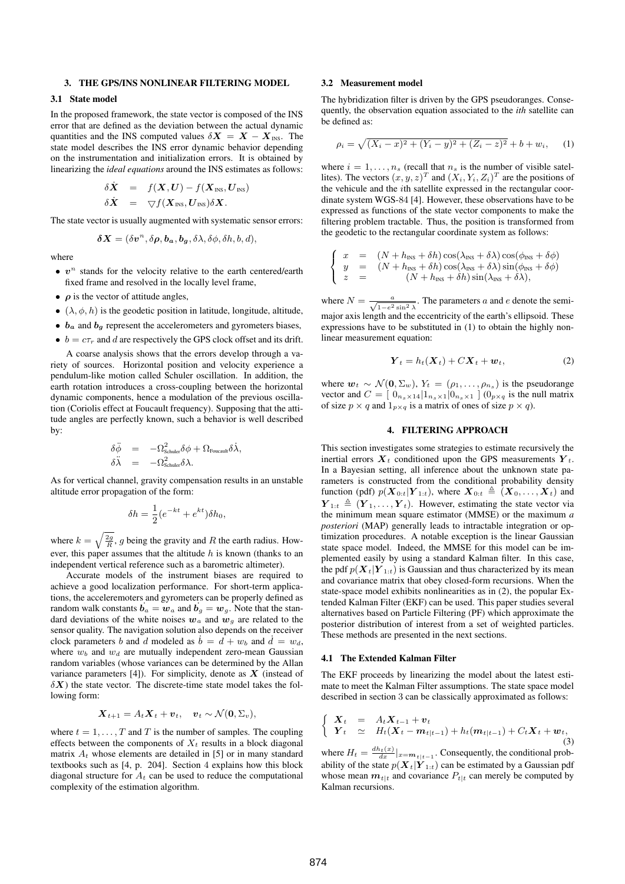#### **3. THE GPS/INS NONLINEAR FILTERING MODEL**

# **3.1 State model**

In the proposed framework, the state vector is composed of the INS error that are defined as the deviation between the actual dynamic quantities and the INS computed values  $\delta X = X - X_{\text{INS}}$ . The state model describes the INS error dynamic behavior depending on the instrumentation and initialization errors. It is obtained by linearizing the *ideal equations* around the INS estimates as follows:

$$
\delta \dot{\mathbf{X}} = f(\mathbf{X}, \mathbf{U}) - f(\mathbf{X}_{\text{INS}}, \mathbf{U}_{\text{INS}}) \n\delta \dot{\mathbf{X}} = \nabla f(\mathbf{X}_{\text{INS}}, \mathbf{U}_{\text{INS}}) \delta \mathbf{X}.
$$

The state vector is usually augmented with systematic sensor errors:

$$
\delta X = (\delta v^n, \delta \rho, b_a, b_g, \delta \lambda, \delta \phi, \delta h, b, d),
$$

where

- $v^n$  stands for the velocity relative to the earth centered/earth fixed frame and resolved in the locally level frame,
- $\rho$  is the vector of attitude angles,
- $(\lambda, \phi, h)$  is the geodetic position in latitude, longitude, altitude,
- $\bullet$   $b_a$  and  $b_g$  represent the accelerometers and gyrometers biases,
- $b = c\tau_r$  and d are respectively the GPS clock offset and its drift.

A coarse analysis shows that the errors develop through a variety of sources. Horizontal position and velocity experience a pendulum-like motion called Schuler oscillation. In addition, the earth rotation introduces a cross-coupling between the horizontal dynamic components, hence a modulation of the previous oscillation (Coriolis effect at Foucault frequency). Supposing that the attitude angles are perfectly known, such a behavior is well described by:

$$
\delta \ddot{\phi} = -\Omega_{\text{Schuler}}^2 \delta \phi + \Omega_{\text{Foucault}} \delta \dot{\lambda}, \n\delta \ddot{\lambda} = -\Omega_{\text{Schuler}}^2 \delta \lambda.
$$

As for vertical channel, gravity compensation results in an unstable altitude error propagation of the form:

$$
\delta h = \frac{1}{2} (e^{-kt} + e^{kt}) \delta h_0,
$$

where  $k = \sqrt{\frac{2g}{R}}$ , g being the gravity and R the earth radius. However, this paper assumes that the altitude  $h$  is known (thanks to an independent vertical reference such as a barometric altimeter).

Accurate models of the instrument biases are required to achieve a good localization performance. For short-term applications, the acceleremoters and gyrometers can be properly defined as random walk constants  $\vec{b}_a = \vec{w}_a$  and  $\vec{b}_g = \vec{w}_g$ . Note that the standard deviations of the white noises  $w_a$  and  $w_g$  are related to the sensor quality. The navigation solution also depends on the receiver clock parameters b and d modeled as  $b = d + w_b$  and  $d = w_d$ , where  $w_b$  and  $w_d$  are mutually independent zero-mean Gaussian random variables (whose variances can be determined by the Allan variance parameters [4]). For simplicity, denote as  $X$  (instead of  $\delta X$ ) the state vector. The discrete-time state model takes the following form:

$$
\boldsymbol{X}_{t+1} = A_t \boldsymbol{X}_t + \boldsymbol{v}_t, \quad \boldsymbol{v}_t \sim \mathcal{N}(\boldsymbol{0}, \Sigma_v),
$$

where  $t = 1, \ldots, T$  and T is the number of samples. The coupling effects between the components of  $X_t$  results in a block diagonal matrix  $A_t$  whose elements are detailed in [5] or in many standard textbooks such as [4, p. 204]. Section 4 explains how this block diagonal structure for  $A_t$  can be used to reduce the computational complexity of the estimation algorithm.

#### **3.2 Measurement model**

The hybridization filter is driven by the GPS pseudoranges. Consequently, the observation equation associated to the *ith* satellite can be defined as:

$$
\rho_i = \sqrt{(X_i - x)^2 + (Y_i - y)^2 + (Z_i - z)^2} + b + w_i, \quad (1)
$$

where  $i = 1, \ldots, n_s$  (recall that  $n_s$  is the number of visible satellites). The vectors  $(x, y, z)^T$  and  $(X_i, Y_i, Z_i)^T$  are the positions of the vehicule and the ith satellite expressed in the rectangular coordinate system WGS-84 [4]. However, these observations have to be expressed as functions of the state vector components to make the filtering problem tractable. Thus, the position is transformed from the geodetic to the rectangular coordinate system as follows:

$$
\label{eq:2} \left\{ \begin{array}{rcl} x &=& \left(N+h_{\text{\tiny{INS}}}+\delta h\right)\cos(\lambda_{\text{\tiny{INS}}}+\delta\lambda)\cos(\phi_{\text{\tiny{INS}}}+\delta\phi) \\ y &=& \left(N+h_{\text{\tiny{INS}}}+\delta h\right)\cos(\lambda_{\text{\tiny{INS}}}+\delta\lambda)\sin(\phi_{\text{\tiny{INS}}}+\delta\phi) \\ z &=& \left(N+h_{\text{\tiny{INS}}}+\delta h\right)\sin(\lambda_{\text{\tiny{INS}}}+\delta\lambda), \end{array} \right.
$$

where  $N = \frac{a}{\sqrt{1 - e^2 \sin^2 \lambda}}$ . The parameters a and e denote the semimajor axis length and the eccentricity of the earth's ellipsoid. These expressions have to be substituted in (1) to obtain the highly nonlinear measurement equation:

$$
\boldsymbol{Y}_t = h_t(\boldsymbol{X}_t) + C\boldsymbol{X}_t + \boldsymbol{w}_t,\tag{2}
$$

where  $w_t \sim \mathcal{N}(0, \Sigma_w)$ ,  $Y_t = (\rho_1, \ldots, \rho_{n_s})$  is the pseudorange vector and  $C = [0_{n_s \times 14}]1_{n_s \times 1}]0_{n_s \times 1}$  ( $0_{p \times q}$  is the null matrix of size  $p \times q$  and  $1_{p \times q}$  is a matrix of ones of size  $p \times q$ ).

## **4. FILTERING APPROACH**

This section investigates some strategies to estimate recursively the inertial errors  $X_t$  conditioned upon the GPS measurements  $Y_t$ . In a Bayesian setting, all inference about the unknown state parameters is constructed from the conditional probability density function (pdf)  $p(\mathbf{X}_{0:t}|\mathbf{Y}_{1:t})$ , where  $\mathbf{X}_{0:t} \triangleq (\mathbf{X}_0, \dots, \mathbf{X}_t)$  and  $\boldsymbol{Y}_{1:t} \triangleq (\boldsymbol{Y}_1, \dots, \boldsymbol{Y}_t)$ . However, estimating the state vector via the minimum mean square estimator (MMSE) or the maximum *a posteriori* (MAP) generally leads to intractable integration or optimization procedures. A notable exception is the linear Gaussian state space model. Indeed, the MMSE for this model can be implemented easily by using a standard Kalman filter. In this case, the pdf  $p(X_t|Y_{1:t})$  is Gaussian and thus characterized by its mean and covariance matrix that obey closed-form recursions. When the state-space model exhibits nonlinearities as in (2), the popular Extended Kalman Filter (EKF) can be used. This paper studies several alternatives based on Particle Filtering (PF) which approximate the posterior distribution of interest from a set of weighted particles. These methods are presented in the next sections.

#### **4.1 The Extended Kalman Filter**

The EKF proceeds by linearizing the model about the latest estimate to meet the Kalman Filter assumptions. The state space model described in section 3 can be classically approximated as follows:

$$
\begin{cases}\n\boldsymbol{X}_t = A_t \boldsymbol{X}_{t-1} + \boldsymbol{v}_t \\
\boldsymbol{Y}_t \simeq H_t(\boldsymbol{X}_t - \boldsymbol{m}_{t|t-1}) + h_t(\boldsymbol{m}_{t|t-1}) + C_t \boldsymbol{X}_t + \boldsymbol{w}_t,\n\end{cases} \tag{3}
$$

where  $H_t = \frac{dh_t(x)}{dx}|_{x=m_{t|t-1}}$ . Consequently, the conditional probability of the state  $p(\mathbf{X}_t|\mathbf{Y}_{1:t})$  can be estimated by a Gaussian pdf whose mean  $m_{t|t}$  and covariance  $P_{t|t}$  can merely be computed by Kalman recursions.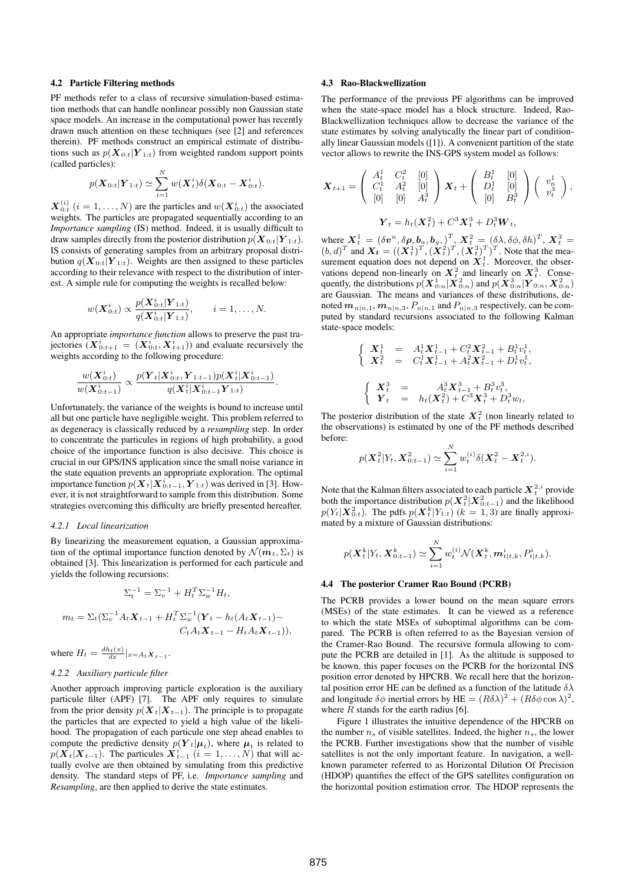### **4.2 Particle Filtering methods**

PF methods refer to a class of recursive simulation-based estimation methods that can handle nonlinear possibly non Gaussian state space models. An increase in the computational power has recently drawn much attention on these techniques (see [2] and references therein). PF methods construct an empirical estimate of distributions such as  $p(\mathbf{X}_{0:t}|\mathbf{Y}_{1:t})$  from weighted random support points (called particles):

$$
p(\bm{X}_{0:t}|\bm{Y}_{1:t}) \simeq \sum_{i=1}^N w(\bm{X}_t^i) \delta(\bm{X}_{0:t} - \bm{X}_{0:t}^i).
$$

 $\boldsymbol{X}_{0:t}^{(i)}$   $(i = 1, ..., N)$  are the particles and  $w(\boldsymbol{X}_{0:t}^i)$  the associated weights. The particles are propagated sequentially according to an *Importance sampling* (IS) method. Indeed, it is usually difficult to draw samples directly from the posterior distribution  $p(\boldsymbol{X}_{0:t}|\boldsymbol{Y}_{1:t}).$ IS consists of generating samples from an arbitrary proposal distribution  $q(\mathbf{X}_{0:t}|\mathbf{Y}_{1:t})$ . Weights are then assigned to these particles according to their relevance with respect to the distribution of interest. A simple rule for computing the weights is recalled below:

$$
w(\mathbf{X}_{0:t}^i) \propto \frac{p(\mathbf{X}_{0:t}^i | \mathbf{Y}_{1:t})}{q(\mathbf{X}_{0:t}^i | \mathbf{Y}_{1:t})}, \qquad i = 1, ..., N.
$$

An appropriate *importance function* allows to preserve the past trajectories  $(\boldsymbol{X}_{0:t+1}^i = (\boldsymbol{X}_{0:t}^i, \boldsymbol{X}_{t+1}^i))$  and evaluate recursively the weights according to the following procedure:

$$
\frac{w(\boldsymbol{X}_{0:t}^i)}{w(\boldsymbol{X}_{0:t-1}^i)} \propto \frac{p(\boldsymbol{Y}_t|\boldsymbol{X}_{0:t}^i,\boldsymbol{Y}_{1:t-1})p(\boldsymbol{X}_t^i|\boldsymbol{X}_{0:t-1}^i)}{q(\boldsymbol{X}_t^i|\boldsymbol{X}_{0:t-1}^i\boldsymbol{Y}_{1:t})}.
$$

Unfortunately, the variance of the weights is bound to increase until all but one particle have negligible weight. This problem referred to as degeneracy is classically reduced by a *resampling* step. In order to concentrate the particules in regions of high probability, a good choice of the importance function is also decisive. This choice is crucial in our GPS/INS application since the small noise variance in the state equation prevents an appropriate exploration. The optimal importance function  $p(\boldsymbol{X}_t|\boldsymbol{X}_{0:t-1},\boldsymbol{Y}_{1:t})$  was derived in [3]. However, it is not straightforward to sample from this distribution. Some strategies overcoming this difficulty are briefly presented hereafter.

#### *4.2.1 Local linearization*

By linearizing the measurement equation, a Gaussian approximation of the optimal importance function denoted by  $\mathcal{N}(m_t, \Sigma_t)$  is obtained [3]. This linearization is performed for each particule and yields the following recursions:

$$
\Sigma_t^{-1} = \Sigma_v^{-1} + H_t^T \Sigma_w^{-1} H_t,
$$
  
\n
$$
m_t = \Sigma_t (\Sigma_v^{-1} A_t \mathbf{X}_{t-1} + H_t^T \Sigma_w^{-1} (\mathbf{Y}_t - h_t (A_t \mathbf{X}_{t-1}) - C_t A_t \mathbf{X}_{t-1} - H_t A_t \mathbf{X}_{t-1})),
$$

where  $H_t = \frac{dh_t(x)}{dx}|_{x=A_t X_{t-1}}$ .

# *4.2.2 Auxiliary particule filter*

Another approach improving particle exploration is the auxiliary particule filter (APF) [7]. The APF only requires to simulate from the prior density  $p(X_t|X_{t-1})$ . The principle is to propagate the particles that are expected to yield a high value of the likelihood. The propagation of each particule one step ahead enables to compute the predictive density  $p(Y_t|\mu_t)$ , where  $\mu_t$  is related to  $p(\boldsymbol{X}_{t} | \boldsymbol{X}_{t-1})$ . The particules  $\boldsymbol{X}_{t-1}^i$   $(i = 1, ..., N)$  that will actually evolve are then obtained by simulating from this predictive density. The standard steps of PF, i.e. *Importance sampling* and *Resampling*, are then applied to derive the state estimates.

#### **4.3 Rao-Blackwellization**

The performance of the previous PF algorithms can be improved when the state-space model has a block structure. Indeed, Rao-Blackwellization techniques allow to decrease the variance of the state estimates by solving analytically the linear part of conditionally linear Gaussian models ([1]). A convenient partition of the state vector allows to rewrite the INS-GPS system model as follows:

$$
\mathbf{X}_{t+1} = \begin{pmatrix} A_t^1 & C_t^2 & [0] \\ C_t^1 & A_t^2 & [0] \\ [0] & [0] & A_t^3 \end{pmatrix} \mathbf{X}_t + \begin{pmatrix} B_t^1 & [0] \\ D_t^1 & [0] \\ [0] & B_t^3 \end{pmatrix} \begin{pmatrix} v_n^1 \\ v_t^3 \end{pmatrix},
$$

$$
\mathbf{Y}_t = h_t(\mathbf{X}_t^2) + C^3 \mathbf{X}_t^3 + D_t^3 \mathbf{W}_t,
$$

where  $\mathbf{X}_t^1 = (\delta v^n, \delta \rho, \mathbf{b}_a, \mathbf{b}_g, \mathbf{b}_a^T, \mathbf{X}_t^2 = (\delta \lambda, \delta \phi, \delta h)^T, \mathbf{X}_t^3 =$  $(b,d)^T$  and  $\boldsymbol{X_t} = ((\boldsymbol{X}_t^1)^T, (\boldsymbol{X}_t^2)^T, (\boldsymbol{X}_t^3)^T)^T$ . Note that the measurement equation does not depend on  $X_t^1$ . Moreover, the observations depend non-linearly on  $X_t^2$  and linearly on  $X_t^3$ . Consequently, the distributions  $p(\bm{X}_{0:n}^1|\bm{X}_{0:n}^2)$  and  $p(\bm{X}_{0:n}^3|\bm{Y}_{0:n},\bm{X}_{0:n}^2)$ are Gaussian. The means and variances of these distributions, denoted  $m_{n|n,1}, m_{n|n,3}, P_{n|n,1}$  and  $P_{n|n,3}$  respectively, can be computed by standard recursions associated to the following Kalman state-space models:

$$
\left\{\begin{array}{rcl} \boldsymbol{X}_t^1 & = & A_t^1 \boldsymbol{X}_{t-1}^1 + C_t^2 \boldsymbol{X}_{t-1}^2 + B_t^1 v_t^1, \\ \boldsymbol{X}_t^2 & = & C_t^1 \boldsymbol{X}_{t-1}^1 + A_t^2 \boldsymbol{X}_{t-1}^2 + D_t^1 v_t^1, \end{array}\right.
$$
\n
$$
\left\{\begin{array}{rcl} \boldsymbol{X}_t^3 & = & A_t^3 \boldsymbol{X}_{t-1}^3 + B_t^3 v_t^3, \\ \boldsymbol{Y}_t & = & h_t(\boldsymbol{X}_t^2) + C^3 \boldsymbol{X}_t^3 + D_t^3 w_t, \end{array}\right.
$$

The posterior distribution of the state  $X_t^2$  (non linearly related to the observations) is estimated by one of the PF methods described before:

$$
p(\mathbf{X}_{t}^{2}|Y_{t}, \mathbf{X}_{0:t-1}^{2}) \simeq \sum_{i=1}^{N} w_{t}^{(i)} \delta(\mathbf{X}_{t}^{2} - \mathbf{X}_{t}^{2,i}).
$$

Note that the Kalman filters associated to each particle  $X_t^{2,i}$  provide both the importance distribution  $p(\mathbf{X}_t^2 | \mathbf{X}_{0:t-1}^2)$  and the likelihood  $p(Y_t|\mathbf{X}_{0:t}^2)$ . The pdfs  $p(\mathbf{X}_t^k|Y_{1:t})$  ( $k = 1, 3$ ) are finally approximated by a mixture of Gaussian distributions:

$$
p(\bm{X}_t^k|Y_t, \bm{X}_{0:t-1}^k) \simeq \sum_{i=1}^N w_t^{(i)} \mathcal{N}(\bm{X}_t^k, \bm{m}_{t|t,k}^i, P_{t|t,k}^i).
$$

## **4.4 The posterior Cramer Rao Bound (PCRB)**

The PCRB provides a lower bound on the mean square errors (MSEs) of the state estimates. It can be viewed as a reference to which the state MSEs of suboptimal algorithms can be compared. The PCRB is often referred to as the Bayesian version of the Cramer-Rao Bound. The recursive formula allowing to compute the PCRB are detailed in [1]. As the altitude is supposed to be known, this paper focuses on the PCRB for the horizontal INS position error denoted by HPCRB. We recall here that the horizontal position error HE can be defined as a function of the latitude  $\delta \lambda$ and longitude  $\delta\phi$  inertial errors by HE =  $(R\delta\lambda)^2 + (R\delta\phi\cos\lambda)^2$ , where  $R$  stands for the earth radius [6].

Figure 1 illustrates the intuitive dependence of the HPCRB on the number  $n_s$  of visible satellites. Indeed, the higher  $n_s$ , the lower the PCRB. Further investigations show that the number of visible satellites is not the only important feature. In navigation, a wellknown parameter referred to as Horizontal Dilution Of Precision (HDOP) quantifies the effect of the GPS satellites configuration on the horizontal position estimation error. The HDOP represents the